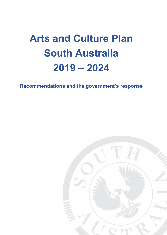# **Arts and Culture Plan South Australia 2019 – 2024**

**Recommendations and the government's response**

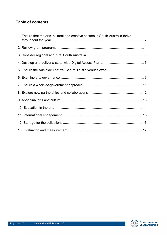# **Table of contents**

| 1. Ensure that the arts, cultural and creative sectors in South Australia thrive |  |
|----------------------------------------------------------------------------------|--|
|                                                                                  |  |
|                                                                                  |  |
|                                                                                  |  |
|                                                                                  |  |
|                                                                                  |  |
|                                                                                  |  |
|                                                                                  |  |
|                                                                                  |  |
|                                                                                  |  |
|                                                                                  |  |
|                                                                                  |  |
|                                                                                  |  |

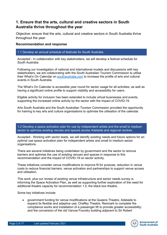# **1. Ensure that the arts, cultural and creative sectors in South Australia thrive throughout the year**

Objective: ensure that the arts, cultural and creative sectors in South Australia thrive throughout the year.

## **Recommendation and response**

## 1.1 Develop an annual schedule of festivals for South Australia.

Accepted - In collaboration with key stakeholders, we will develop a festival schedule for South Australia.

Following our investigation of national and international models and discussions with key stakeholders, we are collaborating with the South Australian Tourism Commission to utilise their What's On Calendar on [southaustralia.com](http://southaustralia.com/) to increase the profile of arts and cultural events in South Australia.

The What's On Calendar is accessible year round for sector usage for all activities, as well as having a significant online profile to support visibility and accessibility for users.

Eligible activity for inclusion has been extended to include virtual businesses and events, supporting the increased online activity by the sector with the impact of COVID-19.

Arts South Australia and the South Australian Tourism Commission provided the opportunity for training to key arts and culture organisations to optimise the utilisation of the calendar.

1.2 Develop a space activation plan for use by independent artists and the small to medium sector to optimise existing venues and spaces across Adelaide and regional centres.

Accepted - Working with sector leads, we will identify existing needs and future options for an optimal use space activation plan for independent artists and small to medium sector organisations.

There are several initiatives being undertaken by government and the sector to remove barriers and optimise the use of existing venues and spaces in response to this recommendation and the impact of COVID-19 on sector activity.

These initiatives consider venue modifications to improve fit for purpose, reduction in venue costs to reduce financial barriers, venue activation and partnerships to support venue access and utilisation.

This work, plus our review of existing venue infrastructure and sector needs survey is informing the Space Activation Plan, as well as supporting further exploration of the need for additional theatre capacity for recommendation 1.5, the black box theatre.

Some key initiatives include:

• government funding for venue modifications at the Queens Theatre, Adelaide to expand its flexible and adaptive use; Chaffey Theatre, Renmark to complete fire compliance works and installation of a passenger lift to provide greater accessibility; and the conversion of the old Varcoe Foundry building adjacent to Sir Robert

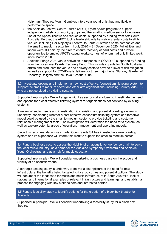Helpmann Theatre, Mount Gambier, into a year round artist hub and flexible performance space

- the Adelaide Festival Centre Trust's (AFCT) *Open Space* program to support independent artists, community groups and the small to medium sector to increase use of the Space Theatre and reduce costs, supported by funding from Arts South Australia. Further, the AFCT took a leadership role by waiving rental costs to all its venues, including Her Majesty's Theatre, to South Australian home companies and the small to medium sector from 1 July 2020 – 31 December 2020. Full utilities and labour were still paid by the hirer to ensure recovery of hard costs and provide opportunities to employ AFCT's casual workers, most of whom had only limited work since March 2020
- Adelaide Fringe 2021 venue activation in response to COVID-19 supported by funding from the government's Arts Recovery Fund. This includes grants for South Australian artists and producers for venue and delivery costs to provide a level of risk mitigation, as well as support for COVID-safe delivery for three major hubs: Gluttony, Garden of Unearthly Delights and the Royal Croquet Club.

1.3 Investigate options and implement a new, cost-effective, 'consortium' ticketing system to support the small to medium sector and other arts organisations (including Country Arts SA) who are not serviced by existing systems.

Supported in-principle - We will engage with key sector stakeholders to investigate the need and options for a cost effective ticketing system for organisations not serviced by existing systems.

A review of sector needs and investigation into existing and potential ticketing system is underway, considering whether a cost effective consortium ticketing system or alternative model could be used by the small to medium sector to provide ticketing and customer relationship management tools. The investigation will determine the need for a system, as well as explore potential areas of operation, management and operating models.

Since this recommendation was made, Country Arts SA has invested in a new ticketing system and its experience will inform this work to support the small to medium sector.

1.4 Fund a business case to assess the viability of an acoustic venue (concert hall) to serve the local music industry, as a home for the Adelaide Symphony Orchestra and Adelaide Youth Orchestras, and as a hub for music education.

Supported in-principle - We will consider undertaking a business case on the scope and viability of an acoustic venue.

A strategic scoping study is underway to deliver a clear picture of the need for new infrastructure, the benefits being targeted, critical outcomes and potential options. The study will document the landscape for music and music infrastructure in South Australia, look at national and international examples of relevant infrastructure and learnings, and establish a process for engaging with key stakeholders and interested parties.

1.5 Fund a feasibility study to identify options for the creation of a black box theatre for Adelaide.

Supported in-principle - We will consider undertaking a feasibility study for a black box theatre.

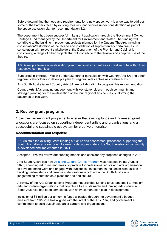Before determining the need and requirements for a new space, work is underway to address some of the barriers faced by existing theatres, and venues under consideration as part of the space activation plan for recommendation 1.2.

The department has been successful in its grant application through the Government Owned Heritage Fund managed by the Department for Environment and Water. The funding will contribute to the building improvement projects planned for the Queens Theatre, including conservation/restoration of the façade and installation of supplementary portal frames. In consultation with relevant stakeholders, the Department of the Premier and Cabinet is considering a range of other projects that will contribute to the flexible and adaptive use of the theatre.

1.6 Develop a five-year revitalisation plan of regional arts centres as creative hubs within their respective communities.

Supported in-principle - We will undertake further consultation with Country Arts SA and other regional stakeholders to develop a plan for regional arts centres as creative hubs.

Arts South Australia and Country Arts SA are collaborating to progress this recommendation.

Country Arts SA's ongoing engagement with key stakeholders in each community and strategic planning for the revitalisation of the four regional arts centres is informing the outcomes of this work.

## **2. Review grant programs**

Objective: review grant programs, to ensure that existing funds and increased grant allocations are focused on supporting independent artists and organisations and a successful and sustainable ecosystem for creative enterprise.

## **Recommendation and response**

2.1 Maintain the existing Grant funding structure and assessment processes, supporting the South Australian arts sector until a new model appropriate to the South Australian community is developed and implemented in 2021.

Accepted - We will review arts funding models and consider any proposed changes in 2021.

Arts South Australia's new [Arts and Culture Grants Program](https://www.dpc.sa.gov.au/responsibilities/arts-and-culture/grants) was released in late August 2020, spanning art forms and areas of practice for professional artists and arts organisation to develop, make work and engage with audiences. Investment in the sector also assists in building partnerships and creative collaborations which enhance South Australia's longstanding reputation as a place for arts and culture.

A review of the Arts Organisations Program that provides funding to vibrant small-to-medium arts and culture organisations that contribute to a sustainable and thriving arts culture in South Australia has been completed, with an implementation plan in development.

Inclusion of \$1 million per annum in funds allocated through the government's budget measure from 2018-19, has aligned with the intent of the Arts Plan, and government's commitment to build sustainable artist careers and organisations.

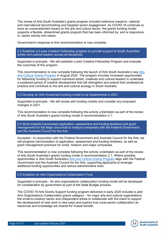The review of Arts South Australia's grants program included extensive research, national and international benchmarking and targeted sector engagement. As COVID-19 continues to have an unprecedented impact on the arts and culture sector, the grants funding model supports a flexible, streamlined grants program that has been informed by, and is responsive to, sector activity and needs.

Government's response to this recommendation is now complete.

2.2 Establish a 2-year Creative Fellowship program to provide support to South Australian artists and cultural leaders across all disciplines.

Supported in-principle - We will establish a pilot Creative Fellowship Program and evaluate the outcomes of this program.

This recommendation is now complete following the launch of Arts South Australia's new [Arts](https://www.dpc.sa.gov.au/responsibilities/arts-and-culture/grants)  [and Culture Grants Program](https://www.dpc.sa.gov.au/responsibilities/arts-and-culture/grants) in August 2020. The program includes increased opportunities for fellowship funding to support individual artists, creatives and cultural leaders to undertake a sustained period of creative development that will strengthen and extend their professional practice and contribute to the arts and cultural ecology in South Australia.

2.3 Develop an Arts Investment funding model to be implemented in 2021.

Supported in-principle - We will review arts funding models and consider any proposed changes in 2021.

This recommendation is now complete following the activity undertaken as part of the review of Arts South Australia's grants funding model in recommendation 2.1.

2.4 Work towards harmonised application, assessment and funding timelines and grant management for the Major and small to medium companies with the Federal Government and the Australia Council for the Arts.

Accepted - In conjunction with the Federal Government and Australia Council for the Arts, we will progress harmonisation of application, assessment and funding timelines, as well as grant management practices for small, medium and major companies.

This recommendation is now complete following the activity undertaken as part of the review of Arts South Australia's grants funding model in recommendation 2.1. Where possible, opportunities in Arts South Australia's [Arts and Culture Grants Program](https://www.dpc.sa.gov.au/responsibilities/arts-and-culture/grants) align with the Federal Government and the Australia Council for the Arts, supporting applicants to leverage additional funding opportunities and reduce administrative work.

## 2.5 Establish an Arts Organisations Collaboration Fund.

Supported in-principle - An arts organisations collaboration funding model will be developed for consideration by government as part of the State Budget process.

The COVID-19 Arts Grants Support funding program delivered in early 2020 included a pilot Arts Organisations Collaboration grants category – for major arts and cultural organisations, the small-to-medium sector and independent artists to collaborate with the intent to support the development of new work in new ways and explore true cross-sector collaboration as resources and knowledge are shared for mutual benefit.

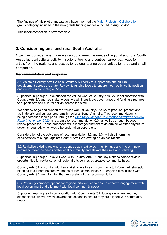The findings of this pilot grant category have informed the [Major Projects -](https://www.dpc.sa.gov.au/responsibilities/arts-and-culture/grants/individuals-groups-organisations/major-collaboration) Collaboration grants category included in the new grants funding model launched in August 2020.

This recommendation is now complete.

# **3. Consider regional and rural South Australia**

Objective: consider what more we can do to meet the needs of regional and rural South Australia, local cultural activity in regional towns and centres, career pathways for artists from the regions, and access to regional touring opportunities for large and small companies.

## **Recommendation and response**

3.1 Maintain Country Arts SA as a Statutory Authority to support arts and cultural development across the state. Review its funding levels to ensure it can optimise its position and deliver on its Strategic Plan.

Supported in-principle - We support the valued work of Country Arts SA. In collaboration with Country Arts SA and key stakeholders, we will investigate governance and funding structures to support arts and cultural activity across the state.

We acknowledge and support the valued work of Country Arts SA to produce, present and facilitate arts and cultural programs in regional South Australia. This recommendation is being addressed in two parts, through the *[Statutory Authority Governance Structures Review](https://www.dpc.sa.gov.au/responsibilities/arts-and-culture/arts-plan/recommendations-and-governments-response/Statutory-Authority-Governance-Structures-Review-Report.pdf)  Report [November 2020](https://www.dpc.sa.gov.au/responsibilities/arts-and-culture/arts-plan/recommendations-and-governments-response/Statutory-Authority-Governance-Structures-Review-Report.pdf)* in response to recommendation 6.3, as well as through budget review processes. These processes will support government to determine whether any future action is required, which would be undertaken separately.

Consideration of the outcomes of recommendation 3.2 and 3.3, will also inform the consideration of budget against Country Arts SA's strategic plan aspirations.

3.2 Revitalise existing regional arts centres as creative community hubs and invest in new centres to meet the needs of the local community and elevate their role and standing.

Supported in-principle - We will work with Country Arts SA and key stakeholders to review opportunities for revitalisation of regional arts centres as creative community hubs.

Country Arts SA is working with key stakeholders in each community to inform their strategic planning to support the creative needs of local communities. Our ongoing discussions with Country Arts SA are informing the progression of this recommendation.

3.3 Reform governance options for regional arts venues to ensure effective engagement with local government and alignment with local community needs.

Supported in-principle - In collaboration with Country Arts SA, local government and key stakeholders, we will review governance options to ensure they are aligned with community needs.

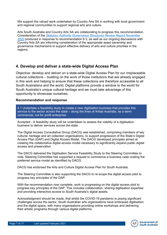We support the valued work undertaken by Country Arts SA in working with local government and regional communities to support regional arts and culture.

Arts South Australia and Country Arts SA are collaborating to progress this recommendation. Consideration of the *[Statutory Authority Governance Structures Review Report](https://www.dpc.sa.gov.au/responsibilities/arts-and-culture/arts-plan/recommendations-and-governments-response/Statutory-Authority-Governance-Structures-Review-Report.pdf) November [2020](https://www.dpc.sa.gov.au/responsibilities/arts-and-culture/arts-plan/recommendations-and-governments-response/Statutory-Authority-Governance-Structures-Review-Report.pdf)* produced in response to recommendation 6.3, as well as our ongoing discussions with Country Arts SA are informing consideration of the appropriate asset ownership and governance mechanisms to support effective delivery of arts and culture priorities in the regions.

# **4. Develop and deliver a state-wide Digital Access Plan**

Objective: develop and deliver on a state-wide Digital Access Plan for our irreplaceable cultural collections – building on the work of those institutions that are already engaged in this work and helping to ensure that these collections are therefore accessible to all South Australians and the world. Digital platforms provide a window to the world for South Australia's unique cultural heritage and we must take advantage of this opportunity to showcase ourselves.

## **Recommendation and response**

4.1 Undertake a feasibility study to create a new digitisation business that provides this service to the sector across the state – along the lines of Artlab Australia, as a semicommercial, not for profit enterprise.

Accepted - A feasibility study will be undertaken to assess the viability of a digitisation business to deliver services across the state.

The Digital Access Consultative Group (DACG) was established, comprising members of key cultural, heritage and art collection organisations, to support progression of the State's Digital Access Plan (DAP) and Digital Access Model. The DACG developed principles aimed at creating the collaborative digital access model necessary to significantly expand public digital access and preservation.

The DACG delivered the Digitisation Service Feasibility Study to the Steering Committee to note. Steering Committee has supported a request to commence a business case costing the preferred service model as identified by DACG.

DACG has endorsed the Arts and Culture Digital Access Plan for South Australia.

The Steering Committee is also supporting the DACG to re-scope the digital access pilot to progress key principles of the DAP.

With the recommendation now complete, work is progressing on the digital access pilot to progress key principles of the DAP. This includes collaboration, sharing digitisation expertise and providing interactive access to South Australia's digital assets.

Acknowledgment should be made, that whilst the COVID-19 pandemic is posing significant challenges across the sector, South Australian arts organisations have embraced digitisation and the digital space, with many organisations providing online workshops and delivering their artistic programs through various digital platforms.

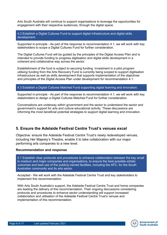Arts South Australia will continue to support organisations to leverage the opportunities for engagement with their respective audiences, through the digital space.

4.2 Establish a Digital Cultures Fund to support digital infrastructure and digital skills development.

Supported in-principle - As part of the response to recommendation 4.1, we will work with key stakeholders to scope a Digital Cultures Fund for further consideration.

The Digital Cultures Fund will be guided by the principles of the Digital Access Plan and is intended to provide funding to progress digitisation and digital skills development in a coherent and collaborative way across the sector.

Establishment of the fund is subject to securing funding. Investment in a pilot program utilising funding from the Arts Recovery Fund is currently being scoped to support digitisation infrastructure as well as skills development that supports implementation of the objectives and principles of the Digital Access Plan under development for recommendation 4.1.

## 4.3 Establish a Digital Cultures Matched Fund supporting digital learning and innovation.

Supported in-principle - As part of the response to recommendation 4.1, we will work with key stakeholders to design a Digital Cultures Matched Fund for further consideration.

Conversations are underway within government and the sector to understand the sector and government's support for arts and culture educational activity. These discussions are informing the most beneficial potential strategies to support digital learning and innovation.

# **5. Ensure the Adelaide Festival Centre Trust's venues excel**

Objective: ensure the Adelaide Festival Centre Trust's newly redeveloped venues, including Her Majesty's Theatre, enable it to take collaboration with our major performing arts companies to a new level.

## **Recommendation and response**

5.1 Establish clear protocols and procedures to enhance collaboration between the key small to medium and major companies and organisations, to ensure the best possible artistic outcomes and best use of the publicly-owned facilities, including the AFC, for the South Australian community and its arts sector.

Accepted - We will work with the Adelaide Festival Centre Trust and key stakeholders to implement this recommendation.

With Arts South Australia's support, the Adelaide Festival Centre Trust and home companies are leading the delivery of this recommendation. Their ongoing discussions considering protocols and procedures to enhance sector understanding will support increased collaboration and utilisation of the Adelaide Festival Centre Trust's venues and implementation of this recommendation.

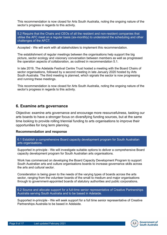This recommendation is now closed for Arts South Australia, noting the ongoing nature of the sector's progress in regards to this activity.

5.2 Require that the Chairs and CEOs of all the resident and non-resident companies that utilise the AFC meet on a regular basis (six-monthly) to understand the scheduling and other challenges of the AFCT.

Accepted - We will work with all stakeholders to implement this recommendation.

The establishment of regular meetings between the organisations help support the big picture, sector ecology and visionary conversation between members as well as progressed the operation aspects of collaboration, as outlined in recommendation 5.1.

In late 2019, The Adelaide Festival Centre Trust hosted a meeting with the Board Chairs of sector organisations, followed by a second meeting in late January 2020 hosted by Arts South Australia. The third meeting is planned, which signals the sector is now progressing and running these meetings.

This recommendation is now closed for Arts South Australia, noting the ongoing nature of the sector's progress in regards to this activity.

## **6. Examine arts governance**

Objective: examine arts governance and encourage more resourcefulness, tasking our arts boards to have a stronger focus on diversifying funding sources, but at the same time looking to provide rolling triennial funding to arts organisations to improve their opportunities for long term planning.

## **Recommendation and response**

6.1 Establish a comprehensive Board capacity development program for South Australian arts organisations.

Supported in-principle - We will investigate suitable options to deliver a comprehensive Board capacity development program for South Australian arts organisations.

Work has commenced on developing the Board Capacity Development Program to support South Australian arts and culture organisations boards to increase governance skills across the arts and cultural sector.

Consideration is being given to the needs of the varying types of boards across the arts sector, ranging from the volunteer boards of the small to medium and major organisations through to government-appointed boards of statutory authorities and public corporations.

6.2 Source and allocate support for a full-time senior representative of Creative Partnerships Australia serving South Australia and to be based in Adelaide.

Supported in-principle - We will seek support for a full time senior representative of Creative Partnerships Australia to be based in Adelaide.

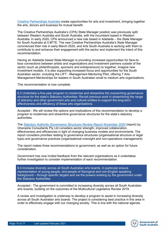[Creative Partnerships Australia](http://www.creativepartnershipsaustralia.org.au/) create opportunities for arts and investment, bringing together the arts, donors and business for mutual benefit.

The Creative Partnerships Australia's (CPA) State Manager position was previously split between Western Australia and South Australia, with the incumbent based in Western Australia. In early 2020, CPA announced a new role based in Adelaide – the State Manager for South Australia at 0.6FTE. The new Creative Partnerships Australia's State Manager commenced their role in early March 2020, and Arts South Australia is working with them to contribute to and enhance their engagement with the sector and implement the intent of this recommendation.

Having an Adelaide based State Manager is providing increased opportunities for face-toface connections between artists and organisations and investment partners outside of the sector (such as philanthropists, sponsors and entrepreneurs) to together, imagine new investment models. It is also supporting increased focus and opportunities for the South Australian sector, including the LIFT - Management Mentoring Pilot, offering 7 Arts Management Mentorships for leaders in South Australian small to medium arts organisations.

This recommendation is now complete.

6.3 Undertake a five-year program to modernise and streamline the overarching governance structure for the state's Statutory Authorities. Revisit previous work in streamlining the range of statutory and other government arts and cultural entities to support the long-term effectiveness and efficiency of these arts organisations.

Accepted - We will review the options and implications of this recommendation to develop a program to modernise and streamline governance structures for the state's statutory authorities.

The *[Statutory Authority Governance Structures Review Report](https://www.dpc.sa.gov.au/responsibilities/arts-and-culture/arts-plan/recommendations-and-governments-response/Statutory-Authority-Governance-Structures-Review-Report.pdf) November 2020* (report) by Gherashe Consultants Pty Ltd considers sector strength, improved collaboration, effectiveness and efficiencies in light of changing business models and environments. The report considers priorities relating to governance structures (organisational structure or legal type) and governance practices (organisational oversight and non-operations management).

The report makes three recommendations to government, as well as an option for future consideration.

Government has now invited feedback from the relevant organisations as it undertakes further investigation to consider implementation of each recommendation.

6.4 Increase diversity across all South Australian arts boards. In particular ensure representation of young people, and people of Aboriginal and non-English speaking background – through specific targets and via the powers existing by the government under the Statutory Authorities.

Accepted - The government is committed to increasing diversity across all South Australian arts boards, building on the outcomes of the Multicultural Legislative Review 2019.

A review and investigation is underway to develop a program to assist in increasing diversity across all South Australian arts boards. The project is considering best practice in this area in order to effectively engage with our changing society. This is line with the national agenda.

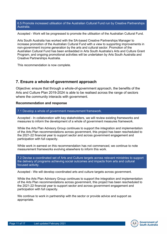6.5 Promote increased utilisation of the Australian Cultural Fund run by Creative Partnerships Australia.

Accepted - Work will be progressed to promote the utilisation of the Australian Cultural Fund.

Arts South Australia has worked with the SA-based Creative Partnerships Manager to increase promotion of the Australian Cultural Fund with a view to supporting improvements in non-government income generation by the arts and cultural sector. Promotion of the Australian Cultural Fund has been embedded in Arts South Australia's Arts and Culture Grant Program, and ongoing promotional activities will be undertaken by Arts South Australia and Creative Partnerships Australia.

This recommendation is now complete.

# **7. Ensure a whole-of-government approach**

Objective: ensure that through a whole-of-government approach, the benefits of the Arts and Culture Plan 2019-2024 is able to be realised across the range of sectors where the community interacts with government.

## **Recommendation and response**

7.1 Develop a whole of government measurement framework.

Accepted - In collaboration with key stakeholders, we will review existing frameworks and measures to inform the development of a whole of government measures framework.

While the Arts Plan Advisory Group continues to support the integration and implementation of the Arts Plan recommendations across government, this project has been rescheduled to the 2021-22 financial year to support sector and across government engagement and participation with full capacity.

While work in earnest on this recommendation has not commenced, we continue to note measurement frameworks evolving elsewhere to inform this work.

7.2 Devise a coordinated set of Arts and Culture targets across relevant ministries to support the delivery of programs achieving social outcomes and impacts from arts and cultural focused activity.

Accepted - We will develop coordinated arts and culture targets across government.

While the Arts Plan Advisory Group continues to support the integration and implementation of the Arts Plan recommendations across government, this project has been rescheduled to the 2021-22 financial year to support sector and across government engagement and participation with full capacity.

We continue to work in partnership with the sector or provide advice and support as appropriate.

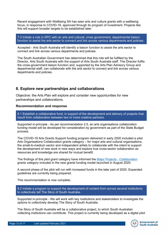Recent engagement with Wellbeing SA has seen arts and culture grants with a wellbeing focus, in response to COVID-19, approved through its program of investment. Projects like this will support broader targets to be established later.

7.3 Initiate a role in DPC with an arts and cultural, cross government, departmental liaison function to assist the arts sector to connect and link across various departments and policies.

Accepted - Arts South Australia will identify a liaison function to assist the arts sector to connect and link across various departments and policies.

The South Australian Government has determined that this role will be fulfilled by the Director, Arts South Australia with the support of Arts South Australia staff. The Director fulfils the cross-government liaison function and, supported by the Arts Plan Advisory Group and departmental staff, can collaborate with the arts sector to connect and link across various departments and policies.

## **8. Explore new partnerships and collaborations**

Objective: the Arts Plan will explore and consider new opportunities for new partnerships and collaborations.

## **Recommendation and response**

8.1 Establish a collaborative fund, in support of the development and delivery of projects that result from collaboration between two or more creative partners.

Supported in-principle - As per recommendation 2.5, an arts organisations collaboration funding model will be developed for consideration by government as part of the State Budget process.

The COVID-19 Arts Grants Support funding program delivered in early 2020 included a pilot Arts Organisations Collaboration grants category – for major arts and cultural organisations, the small-to-medium sector and independent artists to collaborate with the intent to support the development of new work in new ways and explore true cross-sector collaboration as resources and knowledge are shared for mutual benefit.

The findings of this pilot grant category have informed the [Major Projects -](https://www.dpc.sa.gov.au/responsibilities/arts-and-culture/grants/individuals-groups-organisations/major-collaboration) Collaboration grants category included in the new grants funding model launched in August 2020.

A second phase of the pilot will run with increased funds in the later part of 2020. Expanded guidelines are currently being prepared.

This recommendation is now complete.

8.2 Initiate a program to support the development of content from across several institutions to collectively tell The Story of South Australia.

Supported in-principle - We will work with key institutions and stakeholders to investigate the options to collectively develop The Story of South Australia.

The Story of South Australia will be a collaborative project, to which South Australian collecting institutions can contribute. This project is currently being developed as a digital pilot

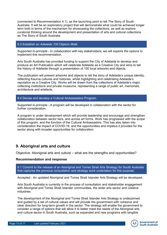(connected to Recommendation 4.1), as the launching point to tell The Story of South Australia. It will be an exploratory project that will demonstrate what could be achieved longer term both in terms of the mechanism for showcasing the collections, as well as explore curatorial thinking around the development and presentation of arts and cultural collections as The Story of South Australia.

## 8.3 Establish an *Adelaide 100 Objects Walk.*

Supported in-principle - In collaboration with key stakeholders, we will explore the options to implement this recommendation.

Arts South Australia has provided funding to support the City of Adelaide to develop and produce an Art Publication which will celebrate Adelaide as a Creative City and aims to tell the history of Adelaide through a presentation of 100 local artworks and objects.

The publication will present artworks and objects to tell the story of Adelaide's unique identity, reflecting Kaurna cultures and histories, whilst highlighting and celebrating Adelaide's reputation as a Creative City. Works will be drawn from the collections of Adelaide's major collecting institutions and private museums, representing a range of public art, memorials, architecture and artefacts.

## 8.4 Devise and develop a Cultural Ambassadors Program.

Supported in-principle - A program will be developed in collaboration with the sector for further consideration.

A program is under development which will provide leadership and encourage and strengthen collaboration between sector tiers, and across art forms. Work has progressed with the scope of this program, and the function of the Cultural Ambassadors. This has also taken into consideration the impact of COVID-19, and the opportunities and impetus it provides for the sector along with broader opportunities for collaboration.

## **9. Aboriginal arts and culture**

Objective: Aboriginal arts and culture – what are the strengths and opportunities?

## **Recommendation and response**

9.1 Commit to the release of an Aboriginal and Torres Strait Arts Strategy for South Australia that captures the previous consultation and strategy work undertaken for this purpose.

Accepted - An updated Aboriginal and Torres Strait Islander Arts Strategy will be developed.

Arts South Australia is currently in the process of consultation and stakeholder engagement with Aboriginal and Torres Strait Islander communities, the wider arts sector and creative industries.

The development of the Aboriginal and Torres Strait Islander Arts Strategy is underpinned and guided by a set of cultural values and will provide the government with cohesive and clear direction for long-term growth in the sector. The strategy will enable the government to consider a range of options that will allow it to better meet the needs of the Aboriginal arts and culture sector in South Australia, such as expanded and new programs with tangible

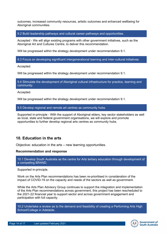outcomes, increased community resources, artistic outcomes and enhanced wellbeing for Aboriginal communities.

9.2 Build leadership pathways and cultural career pathways and opportunities.

Accepted - We will align existing programs with other government initiatives, such as the Aboriginal Art and Cultures Centre, to deliver this recommendation.

Will be progressed within the strategy development under recommendation 9.1.

9.3 Focus on developing significant intergenerational learning and inter-cultural initiatives.

Accepted.

Will be progressed within the strategy development under recommendation 9.1.

9.4 Stimulate the development of Aboriginal cultural infrastructure for practice, learning and community.

Accepted.

Will be progressed within the strategy development under recommendation 9.1.

9.5 Develop regional and remote art centres as community hubs.

Supported in-principle - With the support of Aboriginal elders, key sector stakeholders as well as local, state and federal government organisations, we will explore and promote opportunities to further develop regional arts centres as community hubs.

# **10. Education in the arts**

Objective: education in the arts – new learning opportunities.

## **Recommendation and response**

10.1 Develop South Australia as the centre for Arts tertiary education through development of a compelling BRAND.

Supported in-principle.

Work on the Arts Plan recommendations has been re-prioritised in consideration of the impact of COVID-19 on the capacity and needs of the sectors as well as government.

While the Arts Plan Advisory Group continues to support the integration and implementation of the Arts Plan recommendations across government, this project has been rescheduled to the 2021-22 financial year to support sector and across government engagement and participation with full capacity.

10.2 Undertake a review as to the demand and feasibility of creating a Performing Arts High School/College in Adelaide.

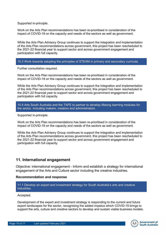Supported in-principle.

Work on the Arts Plan recommendations has been re-prioritised in consideration of the impact of COVID-19 on the capacity and needs of the sectors as well as government.

While the Arts Plan Advisory Group continues to support the integration and implementation of the Arts Plan recommendations across government, this project has been rescheduled to the 2021-22 financial year to support sector and across government engagement and participation with full capacity.

## 10.3 Work towards adopting the principles of STEAM in primary and secondary curricula.

Further consultation required.

Work on the Arts Plan recommendations has been re-prioritised in consideration of the impact of COVID-19 on the capacity and needs of the sectors as well as government.

While the Arts Plan Advisory Group continues to support the integration and implementation of the Arts Plan recommendations across government, this project has been rescheduled to the 2021-22 financial year to support sector and across government engagement and participation with full capacity.

10.4 Arts South Australia and the TAFE to partner to develop lifelong learning modules for the sector, including makers, creators and administrators.

Supported in-principle.

Work on the Arts Plan recommendations has been re-prioritised in consideration of the impact of COVID-19 on the capacity and needs of the sectors as well as government.

While the Arts Plan Advisory Group continues to support the integration and implementation of the Arts Plan recommendations across government, this project has been rescheduled to the 2021-22 financial year to support sector and across government engagement and participation with full capacity.

## **11. International engagement**

Objective: international engagement - Inform and establish a strategy for international engagement of the Arts and Culture sector including the creative industries.

## **Recommendation and response**

11.1 Develop an export and investment strategy for South Australia's arts and creative industries.

#### Accepted.

Development of the export and investment strategy is responding to the current and future export landscapes for the sector, recognising the added impetus which COVID-19 brings to support the arts, culture and creative sectors to develop and sustain viable business models.

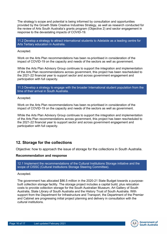The strategy's scope and potential is being informed by consultation and opportunities provided by the Growth State Creative Industries Strategy, as well as research conducted for the review of Arts South Australia's grants program (Objective 2) and sector engagement in response to the devastating impacts of COVID-19.

11.2 Develop a strategy to attract international students to Adelaide as a leading centre for Arts Tertiary education in Australia.

Accepted.

Work on the Arts Plan recommendations has been re-prioritised in consideration of the impact of COVID-19 on the capacity and needs of the sectors as well as government.

While the Arts Plan Advisory Group continues to support the integration and implementation of the Arts Plan recommendations across government, this project has been rescheduled to the 2021-22 financial year to support sector and across government engagement and participation with full capacity.

11.3 Develop a strategy to engage with the broader International student population from the time of their arrival in South Australia.

Accepted.

Work on the Arts Plan recommendations has been re-prioritised in consideration of the impact of COVID-19 on the capacity and needs of the sectors as well as government.

While the Arts Plan Advisory Group continues to support the integration and implementation of the Arts Plan recommendations across government, this project has been rescheduled to the 2021-22 financial year to support sector and across government engagement and participation with full capacity.

# **12. Storage for the collections**

Objective: how to approach the issue of storage for the collections in South Australia.

## **Recommendation and response**

12.1 Implement the recommendations of the Cultural Institutions Storage initiative and the scope of CISSC (Cultural Institutions Storage Steering Committee).

## Accepted.

The government has allocated \$86.5 million in the 2020-21 State Budget towards a purposebuilt collection storage facility. The storage project includes a capital build, plus relocation costs to provide collection storage for the South Australian Museum, Art Gallery of South Australia, State Library of South Australia and the History Trust of South Australia. With support from the Department for Infrastructure and Transport, the Department of the Premier and Cabinet are progressing initial project planning and delivery in consultation with the cultural institutions.